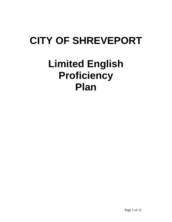# **CITY OF SHREVEPORT**

# **Limited English Proficiency Plan**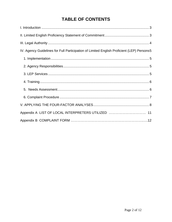# **TABLE OF CONTENTS**

| IV. Agency Guidelines for Full Participation of Limited English Proficient (LEP) Persons5 |
|-------------------------------------------------------------------------------------------|
|                                                                                           |
|                                                                                           |
|                                                                                           |
|                                                                                           |
|                                                                                           |
|                                                                                           |
|                                                                                           |
| Appendix A LIST OF LOCAL INTERPRETERS UTILIZED  11                                        |
|                                                                                           |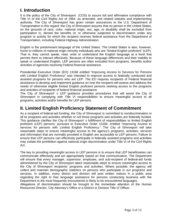# <span id="page-2-0"></span>**I. Introduction**

It is the policy of the City of Shreveport (COS) to assure full and affirmative compliance with Title VI of the Civil Rights Act of 1964, as amended, and related statutes and implementing authority. The City of Shreveport has given certain assurances to the U.S. Department of Transportation in this regard: the City of Shreveport assures that no person in the United States, on the grounds of race, color, national origin, sex, age, or disability shall be excluded from participation in, denied the benefits of, or otherwise subjected to discrimination under any program or activity for which the recipient receives federal assistance from the Department of Transportation, including Federal Highway Administration.

English is the predominant language of the United States. The United States is also, however, home to millions of national origin minority individuals who are "limited English proficient" (LEP). That is, they cannot speak, read, write or understand the English language at a level that permits them to interact effectively. Because of these language differences and their inability to speak or understand English, LEP persons are often excluded from programs, benefits and/or activities of agencies receiving Federal financial assistance.

Presidential Executive Order (EO) 13166 entitled "Improving Access to Services for Persons with Limited English Proficiency" was intended to improve access to federally conducted and assisted programs for persons who are LEP. The EO requires recipients of Federal financial assistance to develop and implement guidance on how the recipient will assess and address the needs of otherwise eligible limited English proficient persons seeking access to the programs and activities of recipients of federal financial assistance.

The City of Shreveport' s LEP guidance provides procedures that will assist the City of Shreveport in complying with Title VI responsibilities to ensure meaningful access to all programs, activities and/or benefits for LEP persons.

# <span id="page-2-1"></span>**II. Limited English Proficiency Statement of Commitment**

As a recipient of federal-aid funding, the City of Shreveport is committed to nondiscrimination in all its programs and activities whether or not those programs and activities are federally funded. This guidance clarifies the City of Shreveport' s fulfillment of responsibilities to limited English proficient (LEP) persons, pursuant to Executive Order 13166, entitled "Improving Access to services for persons with Limited English Proficiency." The City of Shreveport will take reasonable steps to ensure meaningful access to the agency's programs, activities; services and information that are normally provided in English are accessible to LEP persons. Failure to ensure that LEP persons can effectively participate in federally assisted programs and activities may violate the prohibition against national origin discrimination under Title VI of the Civil Rights Act.

The key to providing meaningful access to LEP persons is to ensure that LEP beneficiaries can communicate effectively and act appropriately based on that communication. The Department will ensure that every manager, supervisor, employee, and sub-recipient of federal-aid funds administered by the City of Shreveport takes reasonable steps to ensure meaningful access to the City of Shreveport recipients' programs and activities. Where possible, the agency will collect and maintain demographic statistics on persons who participate in our programs and services. In addition, every district and division will post written notices in a public area regarding the right to free language assistance for persons conducting business with the Department in the most frequently encountered or likely to be encountered languages.

Allegations of discrimination should be brought to the immediate attention of the Human Resources Director, City Attorney's Office or a District or Division Title VI Officer.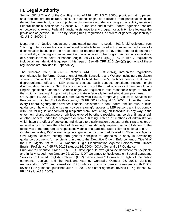# <span id="page-3-0"></span>**III. Legal Authority**

Section 601 of Title VI of the Civil Rights Act of 1964, 42 U.S.C. 2000d, provides that no person shall ''on the ground of race, color, or national origin, be excluded from participation in, be denied the benefits of, or be subjected to discrimination under any program or activity receiving Federal financial assistance.'' Section 602 authorizes and directs Federal agencies that are empowered to extend Federal financial assistance to any program or activity ''to effectuate the provisions of [section 601] \* \* \* by issuing rules, regulations, or orders of general applicability.'' 42 U.S.C. 2000d–1.

Department of Justice regulations promulgated pursuant to section 602 forbid recipients from ''utilizing criteria or methods of administration which have the effect of subjecting individuals to discrimination because of their race, color, or national origin, or have the effect of defeating or substantially impairing accomplishment of the objectives of the program as respects individuals of a particular race, color, or national origin.'' 28 CFR 42.104(b)(2). DOT's Title VI regulations include almost identical language in this regard. *See* 49 CFR 21.5(b)(vii)(2) (portions of these regulations are provided in Appendix A).

The Supreme Court, in *Lau* v. *Nichols*, 414 U.S. 563 (1974), interpreted regulations promulgated by the former Department of Health, Education, and Welfare, including a regulation similar to that of DOJ, 45 CFR  $80.3(b)(2)$ , to hold that Title VI prohibits conduct that has a disproportionate effect on LEP persons because such conduct constitutes national origin discrimination. In *Lau*, a San Francisco school district that had a significant number of non-English speaking students of Chinese origin was required to take reasonable steps to provide them with a meaningful opportunity to participate in federally funded educational programs. On August 11, 2000, Executive Order 13166 was issued. ''Improving Access to Services for Persons with Limited English Proficiency," 65 FR 50121 (August 16, 2000). Under that order, every Federal agency that provides financial assistance to non-Federal entities must publish guidance on how its recipients can provide meaningful access to LEP persons and thus comply with Title VI regulations forbidding recipients from "restrict[ing] an individual in any way in the enjoyment of any advantage or privilege enjoyed by others receiving any service, financial aid, or other benefit under the program'' or from ''utiliz[ing] criteria or methods of administration which have the effect of subjecting individuals to discrimination because of their race, color, or national origin, or have the effect of defeating or substantially impairing accomplishment of the objectives of the program as respects individuals of a particular race, color, or national origin.''

On that same day, DOJ issued a general guidance document addressed to ''Executive Agency Civil Rights Officers'' setting forth general principles for agencies to apply in developing guidance documents for recipients pursuant to the Executive Order. ''Enforcement of Title VI of the Civil Rights Act of 1964—National Origin Discrimination Against Persons with Limited English Proficiency,'' 65 FR 50123 (August 16, 2000) (DOJ's General LEP Guidance).

Pursuant to Executive Order 13166, DOT developed its own guidance document for recipients and initially issued it on January 22, 2001, ''DOT Guidance to Recipients on Special Language Services to Limited English Proficient (LEP) Beneficiaries.'' However, in light of the public comments received and the Assistant Attorney General's October 26, 2001, clarifying memorandum, DOT has revised its LEP guidance to ensure greater consistency with DOJ's revised LEP guidance, published June 18, 2002, and other agencies' revised LEP guidance. 67 FR 117 (June 18, 2002).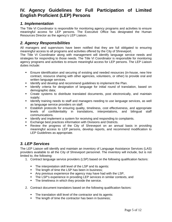## <span id="page-4-0"></span>**IV. Agency Guidelines for Full Participation of Limited English Proficient (LEP) Persons**

## <span id="page-4-1"></span>*1. Implementation*

The Title VI Coordinator is responsible for monitoring agency programs and activities to ensure meaningful access for LEP persons. The Executive Office has designated the Human Resources Director as the agency's LEP Liaison.

## <span id="page-4-2"></span>*2. Agency Responsibilities*

All managers and supervisors have been notified that they are full obligated to ensuring meaningful access to all programs and activities offered by the City of Shreveport.

The Title VI Coordinator along with management will identify language service needs and strategies for responding to those needs. The Title VI Coordinator is responsible for monitoring agency programs and activities to ensure meaningful access for LEP persons. The LEP Liaison duties include:

- Ensure identification and securing of existing and needed resources (in-house, new hire contract, resource sharing with other agencies, volunteers, or other) to provide oral and written language services.
- **If all identify and develop and recommend guidelines to implement the Plan.**
- **IDENT** Identify criteria for designation of language for initial round of translation, based on demographic data;
- Create systems to distribute translated documents, post electronically, and maintain supply;
- I dentify training needs to staff and managers needing to use language services, as well as language service providers on staff.
- **Establish protocols for ensuring quality, timeliness, cost effectiveness, and appropriate** levels of confidentiality in translations, interpretations, and bilingual staff communications.
- **IDENTIFY 1999 11 Identify and implement a system for receiving and responding to complaints.**
- **Exchange best practices information with Divisions and Districts.**
- Review the progress of the City of Shreveport on an annual basis in providing meaningful access to LEP persons, develop reports, and recommend modification to LEP Guidelines as appropriate.

## <span id="page-4-3"></span>*3. LEP Services*

The LEP Liaison will identify and maintain an inventory of Language Assistance Services (LAS) providers available to all the City of Shreveport personnel. The inventory will include, but is not limited to, the following:

- 1. Contract language service providers (LSP) based on the following qualification factors:
	- The interpretation skill level of the LSP and its agents:
	- The length of time the LSP has been in business;
	- Any previous experience the agency may have had with the LSP,
	- The LSP's experience in providing LEP services in similar contexts, and
	- **The timeliness in which they provide the service.**
- 2. Contract document translators based on the following qualification factors:
	- The translation skill level of the contractor and its agents:
	- The length of time the contractor has been in business;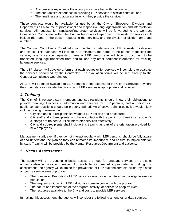- Any previous experience the agency may have had with the contractor,
- The contractor's experience in providing LEP services in similar contexts, and
- The timeliness and accuracy in which they provide the service.

These contracts would be available for use by all the City of Shreveport Divisions and Departments as a source of professional and responsive language translation and interpretation services. All requests for translation/interpreter services will be forwarded to the Contract Compliance Coordinator within the Human Resources Department. Requests for services will include the name of the person requesting the services, and the division or district name and number.

The Contract Compliance Coordinator will maintain a database for LEP requests, by division and district. This database will include, at a minimum, the name of the person requesting the service, type of service requested, name of LEP person affected, type of document to be translated, language translated from and to, and any other pertinent information for tracking language services.

The LEP Liaison will develop a form that each requestor for services will complete to evaluate the services performed by the Contractor. The evaluation forms will be sent directly to the Contract Compliance Coordinator.

All LAS will be made available to LEP persons at the expense of the City of Shreveport, where the circumstances indicate the provision of LEP services is appropriate and required.

## <span id="page-5-0"></span>*4. Training*

The City of Shreveport staff members and sub-recipients should know their obligations to provide meaningful access to information and services for LEP persons, and all persons in public contact positions should be properly trained. An effective training objective would likely include training to ensure that:

- City staff and sub-recipients know about LEP policies and procedures.
- City staff and sub-recipients who have contact with the public (or those in a recipient's custody) are trained to utilize interpreter services effectively.
- City and sub-recipients shall include this training as part of the orientation provided for new employees.

Management staff, even if they do not interact regularly with LEP persons, should be fully aware of and understand the plan so they can reinforce its importance and ensure its implementation by staff. Training will be provided by the Human Resources Department and Liaisons.

### <span id="page-5-1"></span>*5. Needs Assessment*

The agency will, on a continuing basis, assess the need for language services on a district and/or statewide basis and make LAS available as deemed appropriate. In making this assessment, the agency will examine the prevalence of LEP stakeholders statewide, by district and/or by service area of program:

- The number or Proportion of LEP persons served or encountered in the eligible service population
- The frequency with which LEP individuals come in contact with the program
- The nature and importance of the program, activity, or service to people's lives
- The resources available to the City and costs to provide LEP services

In making this assessment, the agency will consider the following among other data sources: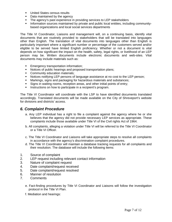- **United States census results**
- Data maintained by the agency
- The agency's past experience in providing services to LEP stakeholders
- Information sources maintained by private and public local entities, including communitybased organizations and local social services departments

The Title VI Coordinator, Liaisons and management will, on a continuing basis, identify vital documents that are routinely provided to stakeholders that will be translated into languages other than English. The translation of vital documents into languages other than English is particularly important where a significant number or percentage of the customers served and/or eligible to be served have limited English proficiency. Whether or not a document is vital depends on how significant the impact on the health, safety, legal rights, or livelihood of an LEP person may be. Written documents include electronic documents and web-sites. Vital documents may include materials such as:

- Emergency transportation information;
- Notices of public hearings and proposed transportation plans;
- Community education materials:
- Notices notifying LEP persons of language assistance at no cost to the LEP person;
- Markings, signs and packaging for hazardous materials and substances;
- Signs in waiting rooms, reception areas, and other initial points of entry;
- **Instructions on how to participate in a recipient's program.**

The Title VI Coordinator will coordinate with the LSP to have identified documents translated accordingly. Translated documents will be made available on the City of Shreveport's website for divisions and districts' access.

### <span id="page-6-0"></span>*6. Complaint Procedure*

- a. Any LEP individual has a right to file a complaint against the agency where he or she believes that the agency did not provide necessary LEP services as appropriate. These complaints include those available under Title VI of the Civil rights Act of 1964.
- b. All complaints, alleging a violation under Title VI will be referred to the Title VI Coordinator or a Title VI Officer.
- c. The Title VI Coordinator and Liaisons will take appropriate steps to resolve all complaints in accordance with the agency's discrimination complaint procedures.
- d. The Title VI Coordinator will maintain a database tracking requests for all complaints and their resolution. The database will include the following items:
- 1. Source of complaint
- 2. LEP request including relevant contact information
- 3. Nature of complaint request
- 4. Date complaint/request received
- 5. Date complaint/request resolved
- 6. Manner of resolution
- 7. Comments
	- e. Fact-finding procedures by Title VI Coordinator and Liaisons will follow the investigation protocol in the Title VI Plan.
	- f. Mediation and hearings: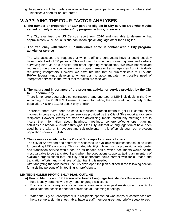g. Interpreters will be made available to hearing participants upon request or where staff identifies a need for an interpreter.

## <span id="page-7-0"></span>**V. APPLYING THE FOUR-FACTOR ANALYSES**

**1. The number or proportion of LEP persons eligible in City service area who maybe served or likely to encounter a City program, activity, or service.** 

The City examined the US Census report from 2010 and was able to determine that approximately 4.0% of Louisiana population spoke language other than English.

#### **2. The frequency with which LEP individuals come in contact with a City program, activity, or service**

The City assesses the frequency at which staff and contractors have or could possibly have contact with LEP persons. This includes documenting phone inquiries and verbally surveying staff via on-site visits and other reporting mechanisms. We have not received requests through our special emphasis program areas or transit agencies from individuals requesting interpreters. However we have required that all sub-recipients of FTA and FHWA federal funds develop a written plan to accommodate the possible need of interpreter services in the event that requests are received.

#### **3. The nature and importance of the program, activity, or service provided by the City to LEP community**

There is no large geographic concentration of any one type of LEP individuals in the City. According to the 2010 U.S. Census Bureau information, the overwhelming majority of the population, 4% or 191,388 speak only English.

Therefore, there have been no specific focused outreach efforts to get LEP communities involved in program, activity and/or services provided by the City of Shreveport and/or subrecipients. However, efforts are made via advertising, media, community meetings, etc. to insure that information about hearings, meetings, conference/workshops, planning activities are broadly circulated throughout the City. Alternative language format have been used by the City of Shreveport and sub-recipients in this effort although our prevalent population speaks English

#### **4. The resources available to the City of Shreveport and overall costs**

The City of Shreveport and contractors assessed its available resources that could be used for providing LEP assistance. This included identifying how much a professional interpreter and translation service would cost on as needed basis, which documents would be the most valuable to be translated if and when the populations supports, taking an inventory of available organizations that the City and contractors could partner with for outreach and translation efforts, and what level of staff training is needed.

After analyzing the four factors, the City developed the plan outlined in the following section for assisting persons of limited English proficiency.

#### **LIMITED ENGLISH PROFICIENCY PLAN OUTLINE**

- **a) How to Identify an LEP Person who Needs Language Assistance** Below are tools to help identify persons who may need language assistance:
- Examine records requests for language assistance from past meetings and events to anticipate the possible need for assistance at upcoming meetings.
- When the City of Shreveport or sub recipients sponsored workshops or conferences are held, set up a sign-in sheet table, have a staff member greet and briefly speak to each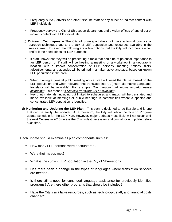- Frequently survey drivers and other first line staff of any direct or indirect contact with LEP individuals.
- **Figuently survey the City of Shreveport department and division offices of any direct or** indirect contact with LEP individuals.
- **c) Outreach Techniques** The City of Shreveport does not have a formal practice of outreach techniques due to the lack of LEP population and resources available in the service area. However, the following are a few options that the City will incorporate when and/or if the need arises for LEP outreach:
	- If staff knows that they will be presenting a topic that could be of potential importance to an LEP person or if staff will be hosting a meeting or a workshop in a geographic location with a known concentration of LEP persons, meeting notices, fliers, advertisements, and agendas will be printed in an alternative language, based on known LEP population in the area.
	- When running a general public meeting notice, staff will insert the clause, based on the LEP population and when relevant, that translates into "A (insert alternative Language) translator will be available". For example: "*Un traductor del idioma español estará disponible*" This means "*A Spanish translator will be available*".
	- Key print materials, including but limited to schedules and maps, will be translated and made available at meetings or public hearings in communities where a specific and concentrated LEP population is identified.
- **d) Monitoring and Updating the LEP Plan** This plan is designed to be flexible and is one that can be easily be updated. At a minimum, the City will follow the Title VI Program update schedule for the LEP Plan. However, major updates most likely will not occur until the next Census in 2010 unless the City finds it necessary and crucial for an update before such time.

Each update should examine all plan components such as:

- How many LEP persons were encountered?
- **Were their needs met?**
- **What is the current LEP population in the City of Shreveport?**
- Has there been a change in the types of languages where translation services are needed?
- Is there still a need for continued language assistance for previously identified programs? Are there other programs that should be included?
- Have the City's available resources, such as technology, staff, and financial costs changed?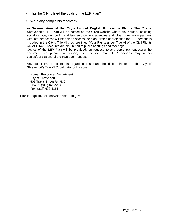- Has the City fulfilled the goals of the LEP Plan?
- Were any complaints received?

**e) Dissemination of the City's Limited English Proficiency Plan –** The City of Shreveport's LEP Plan will be posted on the City's website where any person, including social service, non-profit, and law enforcement agencies and other community partners with internet access will be able to access the plan. Notice of protection for LEP persons is included in the City's Title VI brochure titled "Your Rights under Title VI of the Civil Rights Act of 1964". Brochures are distributed at public hearings and meetings. Copies of the LEP Plan will be provided, on request, to any person(s) requesting the

document via phone, in person, by mail or email. LEP persons may obtain copies/translations of the plan upon request.

Any questions or comments regarding this plan should be directed to the City of Shreveport's Title VI Coordinator or Liaisons.

Human Resources Department City of Shreveport 505 Travis Street Rm 530 Phone: (318) 673-5150 Fax: (318) 673-5161

Email: angelita.jackson@shreveportla.gov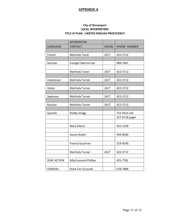#### **APPENDIX A**

#### **City of Shreveport LOCAL INTERPRETERS TITLE VI PLAN ‐ LIMITED ENGLISH PROFICIENCY**

|                    | <b>INTERPRETER</b>            |              |                |
|--------------------|-------------------------------|--------------|----------------|
| LANGUAGE           | <b>CONTACT</b>                | <b>HOURS</b> | PHONE NUMBER   |
|                    |                               |              |                |
| French             | Marlinda Tuner                | 24/7         | 422-5712       |
|                    |                               |              |                |
| German             | Evangel Sabrina Cox           |              | 688-7061       |
|                    |                               |              |                |
|                    | Marlinda Tuner                | 24/7         | 422-5712       |
|                    |                               |              |                |
| Indonesian         | Marlinda Turner               | 24/7         | 422-5712       |
|                    |                               |              |                |
| Italian            | Marlinda Turner               | 24/7         | 422-5712       |
|                    |                               |              |                |
| Japanese           | Marlinda Turner               | 24/7         | 422-5712       |
|                    |                               |              |                |
| Russian            | Marlinda Turner               | 24/7         | 422-5712       |
|                    |                               |              |                |
| Spanish            | <b>Rubby Gregg</b>            |              | 752-4514 cell  |
|                    |                               |              | 227-6718 pager |
|                    |                               |              |                |
|                    | Mary Marez                    |              | 425-1199       |
|                    |                               |              |                |
|                    | Jeanie Butler                 |              | 949-8200       |
|                    |                               |              |                |
|                    | Fressia Guzzman               |              | 219-9240       |
|                    |                               |              |                |
|                    | Marlinda Turner               | 24/7         | 422-5712       |
|                    |                               |              |                |
| <b>DEAF ACTION</b> | <b>Billy/Leonard Phillips</b> |              | 425-7781       |
|                    |                               |              |                |
| <b>GENERAL</b>     | <b>State Fair Grounds</b>     |              | 678-7888       |